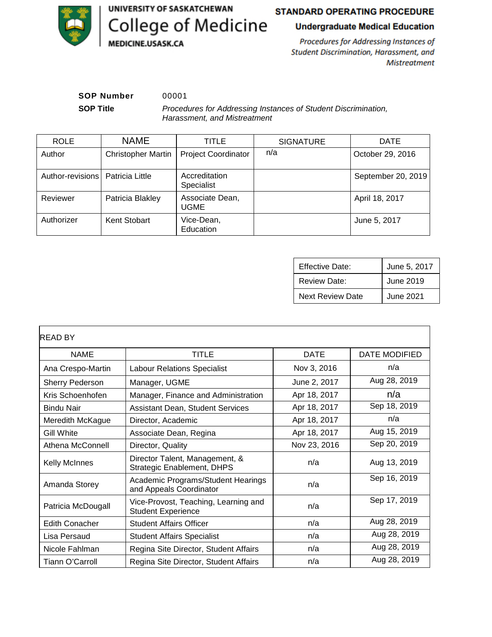

# STANDARD OPERATING PROCEDURE

# **Undergraduate Medical Education**

Procedures for Addressing Instances of Student Discrimination, Harassment, and **Mistreatment** 

**SOP Number** 00001

**SOP Title** *Procedures for Addressing Instances of Student Discrimination, Harassment, and Mistreatment*

| <b>ROLE</b>      | <b>NAME</b>               | TITLE                          | <b>SIGNATURE</b> | <b>DATE</b>        |
|------------------|---------------------------|--------------------------------|------------------|--------------------|
| Author           | <b>Christopher Martin</b> | <b>Project Coordinator</b>     | n/a              | October 29, 2016   |
| Author-revisions | Patricia Little           | Accreditation<br>Specialist    |                  | September 20, 2019 |
| Reviewer         | Patricia Blakley          | Associate Dean,<br><b>UGME</b> |                  | April 18, 2017     |
| Authorizer       | Kent Stobart              | Vice-Dean,<br>Education        |                  | June 5, 2017       |

| <b>Effective Date:</b>  | June 5, 2017 |
|-------------------------|--------------|
| <b>Review Date:</b>     | June 2019    |
| <b>Next Review Date</b> | June 2021    |

| <b>READ BY</b>         |                                                                     |              |               |
|------------------------|---------------------------------------------------------------------|--------------|---------------|
| <b>NAME</b>            | TITLE                                                               | <b>DATE</b>  | DATE MODIFIED |
| Ana Crespo-Martin      | <b>Labour Relations Specialist</b>                                  | Nov 3, 2016  | n/a           |
| <b>Sherry Pederson</b> | Manager, UGME                                                       | June 2, 2017 | Aug 28, 2019  |
| Kris Schoenhofen       | Manager, Finance and Administration                                 | Apr 18, 2017 | n/a           |
| <b>Bindu Nair</b>      | <b>Assistant Dean, Student Services</b>                             | Apr 18, 2017 | Sep 18, 2019  |
| Meredith McKague       | Director, Academic                                                  | Apr 18, 2017 | n/a           |
| <b>Gill White</b>      | Associate Dean, Regina                                              | Apr 18, 2017 | Aug 15, 2019  |
| Athena McConnell       | Director, Quality                                                   | Nov 23, 2016 | Sep 20, 2019  |
| <b>Kelly McInnes</b>   | Director Talent, Management, &<br><b>Strategic Enablement, DHPS</b> | n/a          | Aug 13, 2019  |
| Amanda Storey          | Academic Programs/Student Hearings<br>and Appeals Coordinator       | n/a          | Sep 16, 2019  |
| Patricia McDougall     | Vice-Provost, Teaching, Learning and<br><b>Student Experience</b>   | n/a          | Sep 17, 2019  |
| <b>Edith Conacher</b>  | <b>Student Affairs Officer</b>                                      | n/a          | Aug 28, 2019  |
| Lisa Persaud           | <b>Student Affairs Specialist</b>                                   | n/a          | Aug 28, 2019  |
| Nicole Fahlman         | Regina Site Director, Student Affairs                               | n/a          | Aug 28, 2019  |
| Tiann O'Carroll        | Regina Site Director, Student Affairs                               | n/a          | Aug 28, 2019  |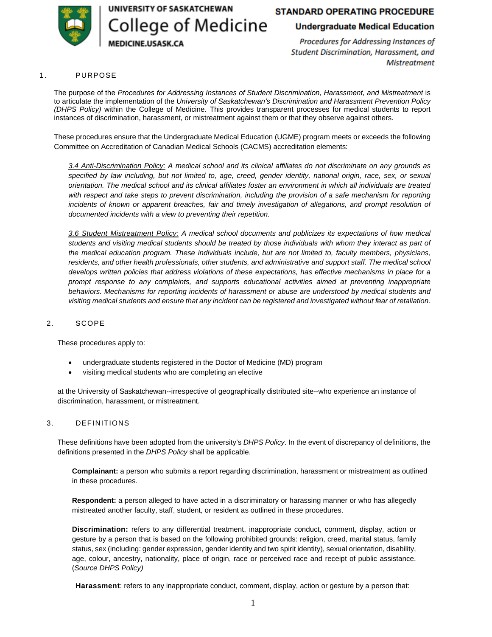

UNIVERSITY OF SASKATCHEWAN

College of Medicine

**IEDICINE.USASK.CA** 

# **STANDARD OPERATING PROCEDURE**

**Undergraduate Medical Education** 

Procedures for Addressing Instances of Student Discrimination, Harassment, and **Mistreatment** 

#### 1. PURPOSE

The purpose of the *Procedures for Addressing Instances of Student Discrimination, Harassment, and Mistreatment* is to articulate the implementation of the *[University of Saskatchewan's Discrimination and Harassment Prevention Policy](https://policies.usask.ca/policies/health-safety-and-environment/discrimination-and-harassment-prevention.php)  [\(DHPS Policy\)](https://policies.usask.ca/policies/health-safety-and-environment/discrimination-and-harassment-prevention.php)* within the College of Medicine. This provides transparent processes for medical students to report instances of discrimination, harassment, or mistreatment against them or that they observe against others.

These procedures ensure that the Undergraduate Medical Education (UGME) program meets or exceeds the following Committee on Accreditation of Canadian Medical Schools (CACMS) accreditation elements:

*3.4 Anti-Discrimination Policy: A medical school and its clinical affiliates do not discriminate on any grounds as specified by law including, but not limited to, age, creed, gender identity, national origin, race, sex, or sexual orientation. The medical school and its clinical affiliates foster an environment in which all individuals are treated*  with respect and take steps to prevent discrimination, including the provision of a safe mechanism for reporting incidents of known or apparent breaches, fair and timely investigation of allegations, and prompt resolution of *documented incidents with a view to preventing their repetition.* 

*3.6 Student Mistreatment Policy: A medical school documents and publicizes its expectations of how medical students and visiting medical students should be treated by those individuals with whom they interact as part of the medical education program. These individuals include, but are not limited to, faculty members, physicians,*  residents, and other health professionals, other students, and administrative and support staff. The medical school *develops written policies that address violations of these expectations, has effective mechanisms in place for a prompt response to any complaints, and supports educational activities aimed at preventing inappropriate behaviors. Mechanisms for reporting incidents of harassment or abuse are understood by medical students and visiting medical students and ensure that any incident can be registered and investigated without fear of retaliation.* 

#### 2. SCOPE

These procedures apply to:

- undergraduate students registered in the Doctor of Medicine (MD) program
- visiting medical students who are completing an elective

at the University of Saskatchewan--irrespective of geographically distributed site--who experience an instance of discrimination, harassment, or mistreatment.

#### 3. DEFINITIONS

These definitions have been adopted from the university's *[DHPS Policy](https://policies.usask.ca/policies/health-safety-and-environment/discrimination-and-harassment-prevention.php)*. In the event of discrepancy of definitions, the definitions presented in the *[DHPS Policy](https://policies.usask.ca/policies/health-safety-and-environment/discrimination-and-harassment-prevention.php)* shall be applicable.

**Complainant:** a person who submits a report regarding discrimination, harassment or mistreatment as outlined in these procedures.

**Respondent:** a person alleged to have acted in a discriminatory or harassing manner or who has allegedly mistreated another faculty, staff, student, or resident as outlined in these procedures.

**Discrimination:** refers to any differential treatment, inappropriate conduct, comment, display, action or gesture by a person that is based on the following prohibited grounds: religion, creed, marital status, family status, sex (including: gender expression, gender identity and two spirit identity), sexual orientation, disability, age, colour, ancestry, nationality, place of origin, race or perceived race and receipt of public assistance. (*[Source DHPS Policy\)](https://policies.usask.ca/policies/health-safety-and-environment/discrimination-and-harassment-prevention.php)*

**Harassment**: refers to any inappropriate conduct, comment, display, action or gesture by a person that: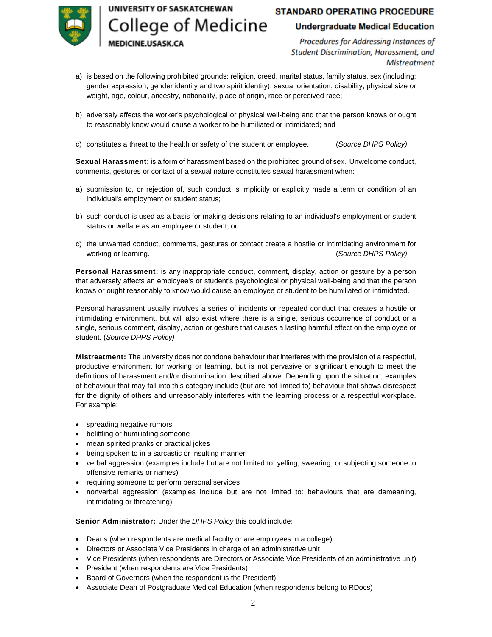# UNIVERSITY OF SASKATCHEWAN **College of Medicine**

**EDICINE.USASK.CA** 

# **STANDARD OPERATING PROCEDURE**

## **Undergraduate Medical Education**

Procedures for Addressing Instances of Student Discrimination, Harassment, and **Mistreatment** 

- a) is based on the following prohibited grounds: religion, creed, marital status, family status, sex (including: gender expression, gender identity and two spirit identity), sexual orientation, disability, physical size or weight, age, colour, ancestry, nationality, place of origin, race or perceived race;
- b) adversely affects the worker's psychological or physical well-being and that the person knows or ought to reasonably know would cause a worker to be humiliated or intimidated; and
- c) constitutes a threat to the health or safety of the student or employee. (*[Source DHPS Policy\)](https://policies.usask.ca/policies/health-safety-and-environment/discrimination-and-harassment-prevention.php)*

**Sexual Harassment**: is a form of harassment based on the prohibited ground of sex. Unwelcome conduct, comments, gestures or contact of a sexual nature constitutes sexual harassment when:

- a) submission to, or rejection of, such conduct is implicitly or explicitly made a term or condition of an individual's employment or student status;
- b) such conduct is used as a basis for making decisions relating to an individual's employment or student status or welfare as an employee or student; or
- c) the unwanted conduct, comments, gestures or contact create a hostile or intimidating environment for working or learning. (*[Source DHPS Policy\)](https://policies.usask.ca/policies/health-safety-and-environment/discrimination-and-harassment-prevention.php)*

**Personal Harassment:** is any inappropriate conduct, comment, display, action or gesture by a person that adversely affects an employee's or student's psychological or physical well-being and that the person knows or ought reasonably to know would cause an employee or student to be humiliated or intimidated.

Personal harassment usually involves a series of incidents or repeated conduct that creates a hostile or intimidating environment, but will also exist where there is a single, serious occurrence of conduct or a single, serious comment, display, action or gesture that causes a lasting harmful effect on the employee or student. (*[Source DHPS Policy\)](https://policies.usask.ca/policies/health-safety-and-environment/discrimination-and-harassment-prevention.php)*

**Mistreatment:** The university does not condone behaviour that interferes with the provision of a respectful, productive environment for working or learning, but is not pervasive or significant enough to meet the definitions of harassment and/or discrimination described above. Depending upon the situation, examples of behaviour that may fall into this category include (but are not limited to) behaviour that shows disrespect for the dignity of others and unreasonably interferes with the learning process or a respectful workplace. For example:

- spreading negative rumors
- belittling or humiliating someone
- mean spirited pranks or practical jokes
- being spoken to in a sarcastic or insulting manner
- verbal aggression (examples include but are not limited to: yelling, swearing, or subjecting someone to offensive remarks or names)
- requiring someone to perform personal services
- nonverbal aggression (examples include but are not limited to: behaviours that are demeaning, intimidating or threatening)

**Senior Administrator:** Under the *[DHPS Policy](https://policies.usask.ca/policies/health-safety-and-environment/discrimination-and-harassment-prevention.php)* this could include:

- Deans (when respondents are medical faculty or are employees in a college)
- Directors or Associate Vice Presidents in charge of an administrative unit
- Vice Presidents (when respondents are Directors or Associate Vice Presidents of an administrative unit)
- President (when respondents are Vice Presidents)
- Board of Governors (when the respondent is the President)
- Associate Dean of Postgraduate Medical Education (when respondents belong to RDocs)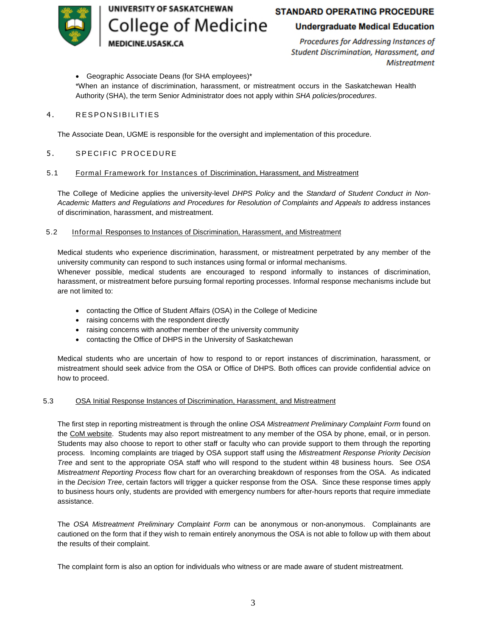UNIVERSITY OF SASKATCHEWAN College of Medicine

# **STANDARD OPERATING PROCEDURE**

# **Undergraduate Medical Education**

Procedures for Addressing Instances of Student Discrimination, Harassment, and **Mistreatment** 

Geographic Associate Deans (for SHA employees)\*

**EDICINE.USASK.CA** 

\*When an instance of discrimination, harassment, or mistreatment occurs in the Saskatchewan Health Authority (SHA), the term Senior Administrator does not apply within *[SHA policies/procedures](#page-7-0)*.

#### 4. RESPONSIBILITIES

The Associate Dean, UGME is responsible for the oversight and implementation of this procedure.

#### 5. SPECIFIC PROCEDURE

#### 5.1 Formal Framework for Instances of Discrimination, Harassment, and Mistreatment

The College of Medicine applies the university-level *[DHPS Policy](https://policies.usask.ca/policies/health-safety-and-environment/discrimination-and-harassment-prevention.php)* and the *[Standard of Student Conduct in Non-](https://secretariat.usask.ca/documents/student-conduct-appeals/StudentNon-AcademicMisconduct.pdf)[Academic Matters and Regulations and Procedures for Resolution of Complaints and Appeals](https://secretariat.usask.ca/documents/student-conduct-appeals/StudentNon-AcademicMisconduct.pdf) to* address instances of discrimination, harassment, and mistreatment.

#### 5.2 Informal Responses to Instances of Discrimination, Harassment, and Mistreatment

Medical students who experience discrimination, harassment, or mistreatment perpetrated by any member of the university community can respond to such instances using formal or informal mechanisms.

Whenever possible, medical students are encouraged to respond informally to instances of discrimination, harassment, or mistreatment before pursuing formal reporting processes. Informal response mechanisms include but are not limited to:

- contacting the Office of Student Affairs (OSA) in the College of Medicine
- raising concerns with the respondent directly
- raising concerns with another member of the university community
- contacting the Office of DHPS in the University of Saskatchewan

Medical students who are uncertain of how to respond to or report instances of discrimination, harassment, or mistreatment should seek advice from the OSA or Office of DHPS. Both offices can provide confidential advice on how to proceed.

#### 5.3 OSA Initial Response Instances of Discrimination, Harassment, and Mistreatment

The first step in reporting mistreatment is through the online *[OSA Mistreatment Preliminary Complaint Form](https://cm.maxient.com/reportingform.php?UnivofSaskatchewan&layout_id=3)* found on the [CoM website.](https://medicine.usask.ca/policies/mistreatment-discrimination-harassment.php) Students may also report mistreatment to any member of the OSA by phone, email, or in person. Students may also choose to report to other staff or faculty who can provide support to them through the reporting process. Incoming complaints are triaged by OSA support staff using the *[Mistreatment Response Priority Decision](#page-8-0)  [Tree](#page-8-0)* and sent to the appropriate OSA staff who will respond to the student within 48 business hours. See *[OSA](#page-9-0)  [Mistreatment Reporting Process](#page-9-0)* flow chart for an overarching breakdown of responses from the OSA. As indicated in the *[Decision Tree](#page-8-0)*, certain factors will trigger a quicker response from the OSA. Since these response times apply to business hours only, students are provided with emergency numbers for after-hours reports that require immediate assistance.

The *[OSA Mistreatment Preliminary Complaint Form](https://cm.maxient.com/reportingform.php?UnivofSaskatchewan&layout_id=3)* can be anonymous or non-anonymous. Complainants are cautioned on the form that if they wish to remain entirely anonymous the OSA is not able to follow up with them about the results of their complaint.

The complaint form is also an option for individuals who witness or are made aware of student mistreatment.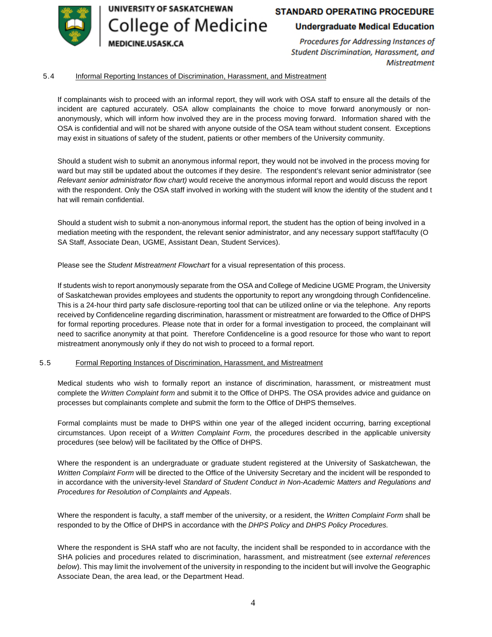

UNIVERSITY OF SASKATCHEWAN **College of Medicine EDICINE.USASK.CA** 

# **STANDARD OPERATING PROCEDURE**

### **Undergraduate Medical Education**

Procedures for Addressing Instances of Student Discrimination, Harassment, and **Mistreatment** 

#### 5.4 Informal Reporting Instances of Discrimination, Harassment, and Mistreatment

If complainants wish to proceed with an informal report, they will work with OSA staff to ensure all the details of the incident are captured accurately. OSA allow complainants the choice to move forward anonymously or nonanonymously, which will inform how involved they are in the process moving forward. Information shared with the OSA is confidential and will not be shared with anyone outside of the OSA team without student consent. Exceptions may exist in situations of safety of the student, patients or other members of the University community.

Should a student wish to submit an anonymous informal report, they would not be involved in the process moving for ward but may still be updated about the outcomes if they desire. The respondent's relevant senior administrator (see *Relevant [senior administrator](#page-10-0) flow chart)* would receive the anonymous informal report and would discuss the report with the respondent. Only the OSA staff involved in working with the student will know the identity of the student and t hat will remain confidential.

Should a student wish to submit a non-anonymous informal report, the student has the option of being involved in a mediation meeting with the respondent, the relevant senior administrator, and any necessary support staff/faculty (O SA Staff, Associate Dean, UGME, Assistant Dean, Student Services).

Please see the *[Student Mistreatment Flowchart](#page-11-0)* for a visual representation of this process.

If students wish to report anonymously separate from the OSA and College of Medicine UGME Program, the University of Saskatchewan provides employees and students the opportunity to report any wrongdoing through Confidenceline. This is a 24-hour third party safe disclosure-reporting tool that can be utilized online or via the telephone. Any reports received by Confidenceline regarding discrimination, harassment or mistreatment are forwarded to the Office of DHPS for formal reporting procedures. Please note that in order for a formal investigation to proceed, the complainant will need to sacrifice anonymity at that point. Therefore Confidenceline is a good resource for those who want to report mistreatment anonymously only if they do not wish to proceed to a formal report.

#### 5.5 Formal Reporting Instances of Discrimination, Harassment, and Mistreatment

Medical students who wish to formally report an instance of discrimination, harassment, or mistreatment must complete the *[Written Complaint form](https://wellness.usask.ca/documents/dhps-complaint-form.pdf)* and submit it to the Office of DHPS. The OSA provides advice and guidance on processes but complainants complete and submit the form to the Office of DHPS themselves.

Formal complaints must be made to DHPS within one year of the alleged incident occurring, barring exceptional circumstances. Upon receipt of a *[Written Complaint Form](https://wellness.usask.ca/documents/dhps-complaint-form.pdf)*, the procedures described in the applicable university procedures (see below) will be facilitated by the Office of DHPS.

Where the respondent is an undergraduate or graduate student registered at the University of Saskatchewan, the *[Written Complaint Form](https://wellness.usask.ca/documents/dhps-complaint-form.pdf)* will be directed to the Office of the University Secretary and the incident will be responded to in accordance with the university-level *[Standard of Student Conduct in Non-Academic Matters and Regulations and](https://secretariat.usask.ca/documents/student-conduct-appeals/StudentNon-AcademicMisconduct.pdf)  [Procedures for Resolution of Complaints and Appeals](https://secretariat.usask.ca/documents/student-conduct-appeals/StudentNon-AcademicMisconduct.pdf)*.

Where the respondent is faculty, a staff member of the university, or a resident, the *[Written Complaint Form](https://wellness.usask.ca/documents/dhps-complaint-form.pdf)* shall be responded to by the Office of DHPS in accordance with the *[DHPS Policy](https://policies.usask.ca/policies/health-safety-and-environment/discrimination-and-harassment-prevention.php)* and *DHPS Policy Procedures*.

Where the respondent is SHA staff who are not faculty, the incident shall be responded to in accordance with the [SHA policies and procedures](#page-7-0) related to discrimination, harassment, and mistreatment (see *[external references](#page-7-0)  below*). This may limit the involvement of the university in responding to the incident but will involve the Geographic Associate Dean, the area lead, or the Department Head.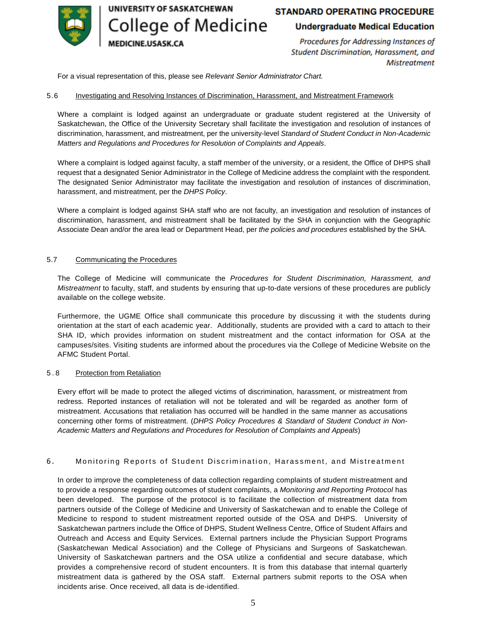

UNIVERSITY OF SASKATCHEWAN College of Medicine **IEDICINE.USASK.CA** 

# **STANDARD OPERATING PROCEDURE**

### **Undergraduate Medical Education**

Procedures for Addressing Instances of Student Discrimination, Harassment, and **Mistreatment** 

For a visual representation of this, please see *Relevant [Senior Administrator](#page-10-0) Chart.*

#### 5.6 Investigating and Resolving Instances of Discrimination, Harassment, and Mistreatment Framework

Where a complaint is lodged against an undergraduate or graduate student registered at the University of Saskatchewan, the Office of the University Secretary shall facilitate the investigation and resolution of instances of discrimination, harassment, and mistreatment, per the university-level *[Standard of Student Conduct in Non-Academic](https://secretariat.usask.ca/documents/student-conduct-appeals/StudentNon-AcademicMisconduct.pdf)  [Matters and Regulations and Procedures for Resolution of Complaints and Appeals](https://secretariat.usask.ca/documents/student-conduct-appeals/StudentNon-AcademicMisconduct.pdf)*.

Where a complaint is lodged against faculty, a staff member of the university, or a resident, the Office of DHPS shall request that a designated Senior Administrator in the College of Medicine address the complaint with the respondent. The designated Senior Administrator may facilitate the investigation and resolution of instances of discrimination, harassment, and mistreatment, per the *[DHPS Policy](https://policies.usask.ca/policies/health-safety-and-environment/discrimination-and-harassment-prevention.php)*.

Where a complaint is lodged against SHA staff who are not faculty, an investigation and resolution of instances of discrimination, harassment, and mistreatment shall be facilitated by the SHA in conjunction with the Geographic Associate Dean and/or the area lead or Department Head, per *the [policies and procedures](#page-7-0)* established by the SHA.

#### 5.7 Communicating the Procedures

The College of Medicine will communicate the *Procedures for Student Discrimination, Harassment, and Mistreatment* to faculty, staff, and students by ensuring that up-to-date versions of these procedures are publicly available on the college website.

Furthermore, the UGME Office shall communicate this procedure by discussing it with the students during orientation at the start of each academic year. Additionally, students are provided with a card to attach to their SHA ID, which provides information on student mistreatment and the contact information for OSA at the campuses/sites. Visiting students are informed about the procedures via the College of Medicine Website on the AFMC Student Portal.

#### 5 . 8 Protection from Retaliation

Every effort will be made to protect the alleged victims of discrimination, harassment, or mistreatment from redress. Reported instances of retaliation will not be tolerated and will be regarded as another form of mistreatment. Accusations that retaliation has occurred will be handled in the same manner as accusations concerning other forms of mistreatment. (*[DHPS Policy Procedures](https://wellness.usask.ca/documents/dhps-procedures.pdf) & [Standard of Student Conduct in Non-](https://secretariat.usask.ca/documents/student-conduct-appeals/StudentNon-AcademicMisconduct.pdf)[Academic Matters and Regulations and Procedures for Resolution of Complaints and Appeals](https://secretariat.usask.ca/documents/student-conduct-appeals/StudentNon-AcademicMisconduct.pdf)*)

#### 6. Monitoring Reports of Student Discrimination, Harassment, and Mistreatment

In order to improve the completeness of data collection regarding complaints of student mistreatment and to provide a response regarding outcomes of student complaints, a *[Monitoring and Reporting Protocol](#page-12-0)* has been developed. The purpose of the protocol is to facilitate the collection of mistreatment data from partners outside of the College of Medicine and University of Saskatchewan and to enable the College of Medicine to respond to student mistreatment reported outside of the OSA and DHPS. University of Saskatchewan partners include the Office of DHPS, Student Wellness Centre, Office of Student Affairs and Outreach and Access and Equity Services. External partners include the Physician Support Programs (Saskatchewan Medical Association) and the College of Physicians and Surgeons of Saskatchewan. University of Saskatchewan partners and the OSA utilize a confidential and secure database, which provides a comprehensive record of student encounters. It is from this database that internal quarterly mistreatment data is gathered by the OSA staff. External partners submit reports to the OSA when incidents arise. Once received, all data is de-identified.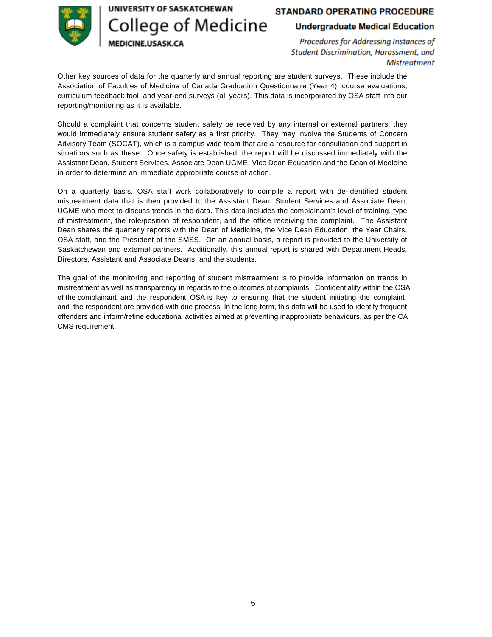

UNIVERSITY OF SASKATCHEWAN

**College of Medicine** 

MEDICINE.USASK.CA

# **STANDARD OPERATING PROCEDURE**

### **Undergraduate Medical Education**

Procedures for Addressing Instances of Student Discrimination, Harassment, and **Mistreatment** 

Other key sources of data for the quarterly and annual reporting are student surveys. These include the Association of Faculties of Medicine of Canada Graduation Questionnaire (Year 4), course evaluations, curriculum feedback tool, and year-end surveys (all years). This data is incorporated by OSA staff into our reporting/monitoring as it is available.

Should a complaint that concerns student safety be received by any internal or external partners, they would immediately ensure student safety as a first priority. They may involve the Students of Concern Advisory Team (SOCAT), which is a campus wide team that are a resource for consultation and support in situations such as these. Once safety is established, the report will be discussed immediately with the Assistant Dean, Student Services, Associate Dean UGME, Vice Dean Education and the Dean of Medicine in order to determine an immediate appropriate course of action.

On a quarterly basis, OSA staff work collaboratively to compile a report with de-identified student mistreatment data that is then provided to the Assistant Dean, Student Services and Associate Dean, UGME who meet to discuss trends in the data. This data includes the complainant's level of training, type of mistreatment, the role/position of respondent, and the office receiving the complaint. The Assistant Dean shares the quarterly reports with the Dean of Medicine, the Vice Dean Education, the Year Chairs, OSA staff, and the President of the SMSS. On an annual basis, a report is provided to the University of Saskatchewan and external partners. Additionally, this annual report is shared with Department Heads, Directors, Assistant and Associate Deans, and the students.

The goal of the monitoring and reporting of student mistreatment is to provide information on trends in mistreatment as well as transparency in regards to the outcomes of complaints. Confidentiality within the OSA of the complainant and the respondent OSA is key to ensuring that the student initiating the complaint and the respondent are provided with due process. In the long term, this data will be used to identify frequent offenders and inform/refine educational activities aimed at preventing inappropriate behaviours, as per the CA CMS requirement.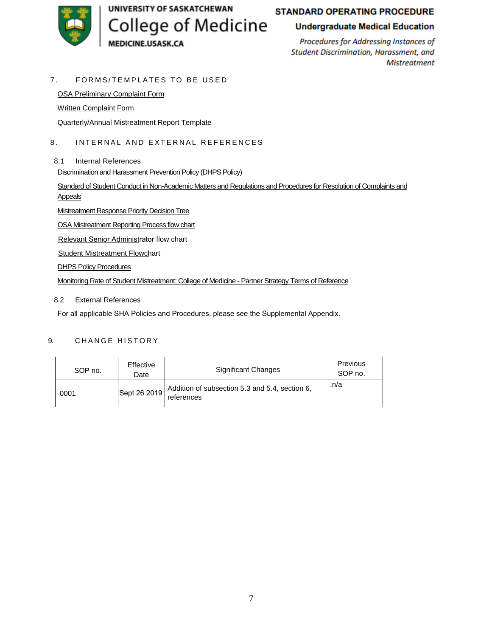<span id="page-7-0"></span>

# **STANDARD OPERATING PROCEDURE**

## **Undergraduate Medical Education**

Procedures for Addressing Instances of Student Discrimination, Harassment, and **Mistreatment** 

#### 7. FORMS/TEMPLATES TO BE USED

[OSA Preliminary Complaint Form](https://cm.maxient.com/reportingform.php?UnivofSaskatchewan&layout_id=3) 

[Written Complaint Form](https://wellness.usask.ca/documents/dhps-complaint-form.pdf) 

[Quarterly/Annual Mistreatment Report Template](#page-14-0) 

#### 8. INTERNAL AND EXTERNAL REFERENCES

8.1 Internal References

Discrimination and Harassment Prevention Policy (DHPS Policy)

[Standard of Student Conduct in Non-Academic Matters and Regulations and Procedures for Resolution of Complaints and](https://secretariat.usask.ca/documents/student-conduct-appeals/StudentNon-AcademicMisconduct.pdf) Appeals

[Mistreatment Response Priority Decision Tree](#page-8-0) 

[OSA Mistreatment Reporting Process flow chart](#page-9-0) 

Relevant [Senior Administrator](#page-10-0) flow chart

[Student Mistreatment Flowchart](#page-11-0) 

DHPS Policy [Procedures](https://wellness.usask.ca/documents/dhps-procedures.pdf)

Monitoring Rate of Student [Mistreatment:](#page-12-0) College of Medicine - Partner Strategy Terms of Reference

#### 8.2 External References

For all applicable SHA Policies and Procedures, please see the Supplemental Appendix.

#### 9. CHANGE HISTORY

| SOP no. | Effective<br>Date | Significant Changes                                          | Previous<br>SOP no. |
|---------|-------------------|--------------------------------------------------------------|---------------------|
| 0001    | Sept 26 2019      | Addition of subsection 5.3 and 5.4, section 6,<br>references | .n/a                |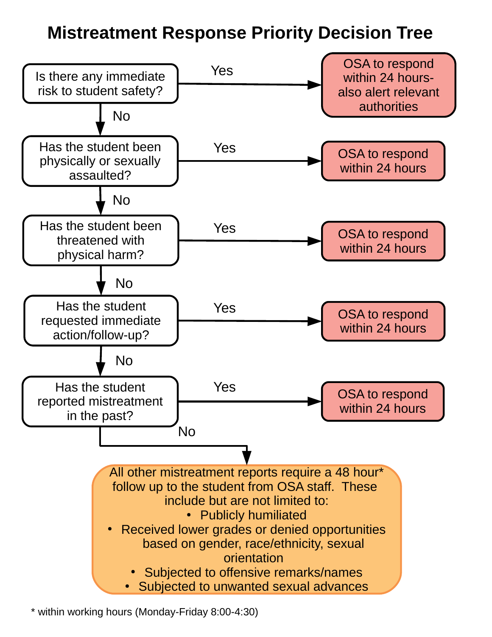# **Mistreatment Response Priority Decision Tree**

<span id="page-8-0"></span>

\* within working hours (Monday-Friday 8:00-4:30)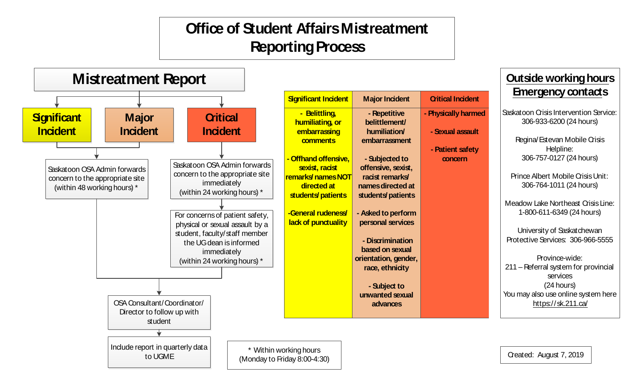# **Office of Student AffairsMistreatment Reporting Process**

<span id="page-9-0"></span>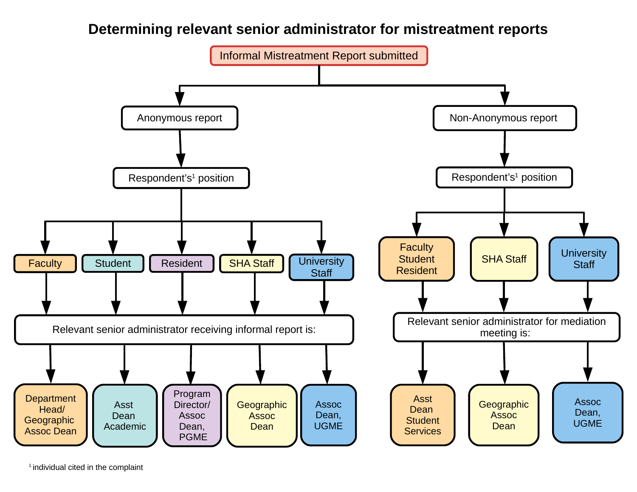# **Determining relevant senior administrator for mistreatment reports**

<span id="page-10-0"></span>

 $1$  individual cited in the complaint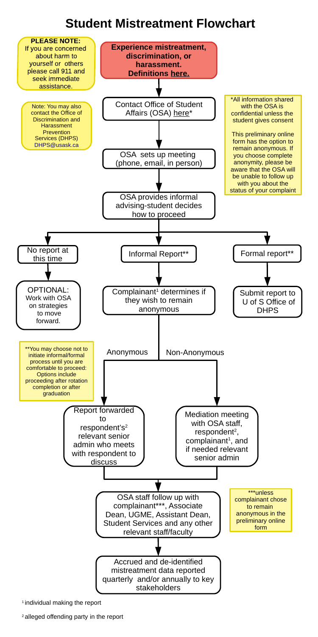# **Student Mistreatment Flowchart**

<span id="page-11-0"></span>



 $1$  individual making the report

<sup>2</sup> alleged offending party in the report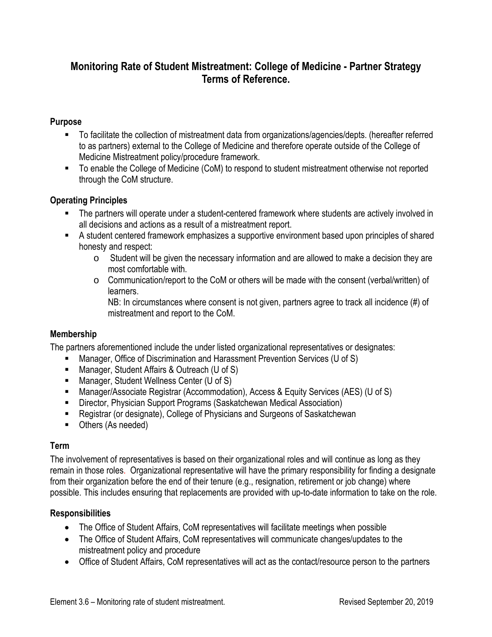# <span id="page-12-0"></span>**Monitoring Rate of Student Mistreatment: College of Medicine - Partner Strategy Terms of Reference.**

# **Purpose**

- To facilitate the collection of mistreatment data from organizations/agencies/depts. (hereafter referred to as partners) external to the College of Medicine and therefore operate outside of the College of Medicine Mistreatment policy/procedure framework.
- To enable the College of Medicine (CoM) to respond to student mistreatment otherwise not reported through the CoM structure.

# **Operating Principles**

- The partners will operate under a student-centered framework where students are actively involved in all decisions and actions as a result of a mistreatment report.
- A student centered framework emphasizes a supportive environment based upon principles of shared honesty and respect:
	- o Student will be given the necessary information and are allowed to make a decision they are most comfortable with.
	- $\circ$  Communication/report to the CoM or others will be made with the consent (verbal/written) of learners.

NB: In circumstances where consent is not given, partners agree to track all incidence (#) of mistreatment and report to the CoM.

# **Membership**

The partners aforementioned include the under listed organizational representatives or designates:

- Manager, Office of Discrimination and Harassment Prevention Services (U of S)
- Manager, Student Affairs & Outreach (U of S)
- Manager, Student Wellness Center (U of S)
- Manager/Associate Registrar (Accommodation), Access & Equity Services (AES) (U of S)
- Director, Physician Support Programs (Saskatchewan Medical Association)
- Registrar (or designate), College of Physicians and Surgeons of Saskatchewan
- Others (As needed)

# **Term**

The involvement of representatives is based on their organizational roles and will continue as long as they remain in those roles. Organizational representative will have the primary responsibility for finding a designate from their organization before the end of their tenure (e.g., resignation, retirement or job change) where possible. This includes ensuring that replacements are provided with up-to-date information to take on the role.

# **Responsibilities**

- The Office of Student Affairs, CoM representatives will facilitate meetings when possible
- The Office of Student Affairs, CoM representatives will communicate changes/updates to the mistreatment policy and procedure
- Office of Student Affairs, CoM representatives will act as the contact/resource person to the partners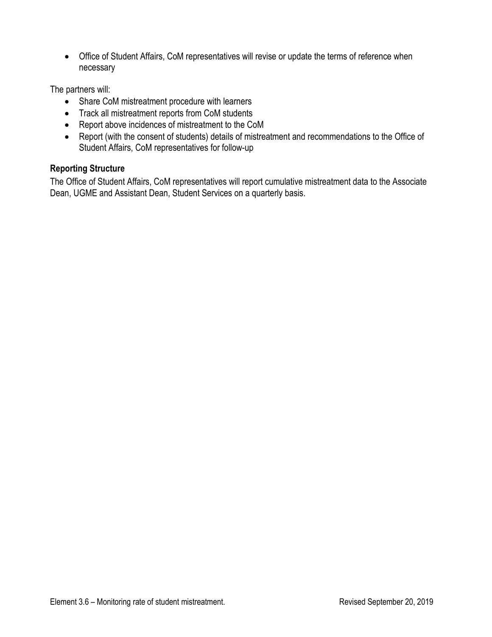Office of Student Affairs, CoM representatives will revise or update the terms of reference when necessary

The partners will:

- Share CoM mistreatment procedure with learners
- Track all mistreatment reports from CoM students
- Report above incidences of mistreatment to the CoM
- Report (with the consent of students) details of mistreatment and recommendations to the Office of Student Affairs, CoM representatives for follow-up

# **Reporting Structure**

The Office of Student Affairs, CoM representatives will report cumulative mistreatment data to the Associate Dean, UGME and Assistant Dean, Student Services on a quarterly basis.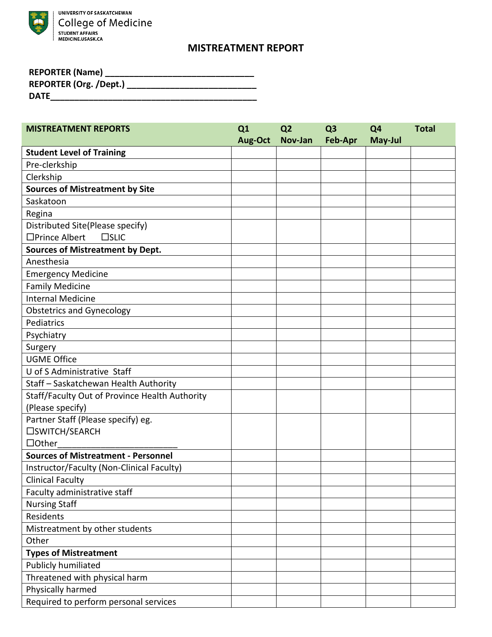<span id="page-14-0"></span>

# **MISTREATMENT REPORT**

| <b>REPORTER (Name)</b>        |
|-------------------------------|
| <b>REPORTER (Org. /Dept.)</b> |
| <b>DATE</b>                   |

| <b>MISTREATMENT REPORTS</b>                    | Q1<br>Aug-Oct | Q <sub>2</sub><br>Nov-Jan | Q <sub>3</sub><br>Feb-Apr | Q <sub>4</sub><br>May-Jul | <b>Total</b> |
|------------------------------------------------|---------------|---------------------------|---------------------------|---------------------------|--------------|
| <b>Student Level of Training</b>               |               |                           |                           |                           |              |
| Pre-clerkship                                  |               |                           |                           |                           |              |
| Clerkship                                      |               |                           |                           |                           |              |
| <b>Sources of Mistreatment by Site</b>         |               |                           |                           |                           |              |
| Saskatoon                                      |               |                           |                           |                           |              |
| Regina                                         |               |                           |                           |                           |              |
| Distributed Site(Please specify)               |               |                           |                           |                           |              |
| □Prince Albert<br>$\square$ SLIC               |               |                           |                           |                           |              |
| <b>Sources of Mistreatment by Dept.</b>        |               |                           |                           |                           |              |
| Anesthesia                                     |               |                           |                           |                           |              |
| <b>Emergency Medicine</b>                      |               |                           |                           |                           |              |
| <b>Family Medicine</b>                         |               |                           |                           |                           |              |
| <b>Internal Medicine</b>                       |               |                           |                           |                           |              |
| <b>Obstetrics and Gynecology</b>               |               |                           |                           |                           |              |
| Pediatrics                                     |               |                           |                           |                           |              |
| Psychiatry                                     |               |                           |                           |                           |              |
| Surgery                                        |               |                           |                           |                           |              |
| <b>UGME Office</b>                             |               |                           |                           |                           |              |
| U of S Administrative Staff                    |               |                           |                           |                           |              |
| Staff - Saskatchewan Health Authority          |               |                           |                           |                           |              |
| Staff/Faculty Out of Province Health Authority |               |                           |                           |                           |              |
| (Please specify)                               |               |                           |                           |                           |              |
| Partner Staff (Please specify) eg.             |               |                           |                           |                           |              |
| □SWITCH/SEARCH                                 |               |                           |                           |                           |              |
| $\Box$ Other                                   |               |                           |                           |                           |              |
| <b>Sources of Mistreatment - Personnel</b>     |               |                           |                           |                           |              |
| Instructor/Faculty (Non-Clinical Faculty)      |               |                           |                           |                           |              |
| <b>Clinical Faculty</b>                        |               |                           |                           |                           |              |
| Faculty administrative staff                   |               |                           |                           |                           |              |
| <b>Nursing Staff</b>                           |               |                           |                           |                           |              |
| Residents                                      |               |                           |                           |                           |              |
| Mistreatment by other students                 |               |                           |                           |                           |              |
| Other                                          |               |                           |                           |                           |              |
| <b>Types of Mistreatment</b>                   |               |                           |                           |                           |              |
| <b>Publicly humiliated</b>                     |               |                           |                           |                           |              |
| Threatened with physical harm                  |               |                           |                           |                           |              |
| Physically harmed                              |               |                           |                           |                           |              |
| Required to perform personal services          |               |                           |                           |                           |              |